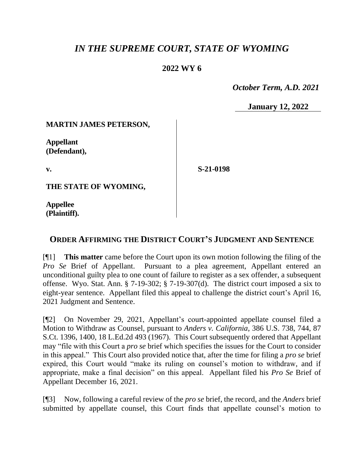# *IN THE SUPREME COURT, STATE OF WYOMING*

## **2022 WY 6**

 *October Term, A.D. 2021*

**January 12, 2022**

#### **MARTIN JAMES PETERSON,**

**Appellant (Defendant),**

**v.**

**S-21-0198**

**THE STATE OF WYOMING,**

**Appellee (Plaintiff).**

### **ORDER AFFIRMING THE DISTRICT COURT'S JUDGMENT AND SENTENCE**

[¶1] **This matter** came before the Court upon its own motion following the filing of the *Pro Se* Brief of Appellant. Pursuant to a plea agreement, Appellant entered an unconditional guilty plea to one count of failure to register as a sex offender, a subsequent offense. Wyo. Stat. Ann. § 7-19-302; § 7-19-307(d). The district court imposed a six to eight-year sentence. Appellant filed this appeal to challenge the district court's April 16, 2021 Judgment and Sentence.

[¶2] On November 29, 2021, Appellant's court-appointed appellate counsel filed a Motion to Withdraw as Counsel, pursuant to *Anders v. California*, 386 U.S. 738, 744, 87 S.Ct. 1396, 1400, 18 L.Ed.2d 493 (1967). This Court subsequently ordered that Appellant may "file with this Court a *pro se* brief which specifies the issues for the Court to consider in this appeal." This Court also provided notice that, after the time for filing a *pro se* brief expired, this Court would "make its ruling on counsel's motion to withdraw, and if appropriate, make a final decision" on this appeal. Appellant filed his *Pro Se* Brief of Appellant December 16, 2021.

[¶3] Now, following a careful review of the *pro se* brief, the record, and the *Anders* brief submitted by appellate counsel, this Court finds that appellate counsel's motion to